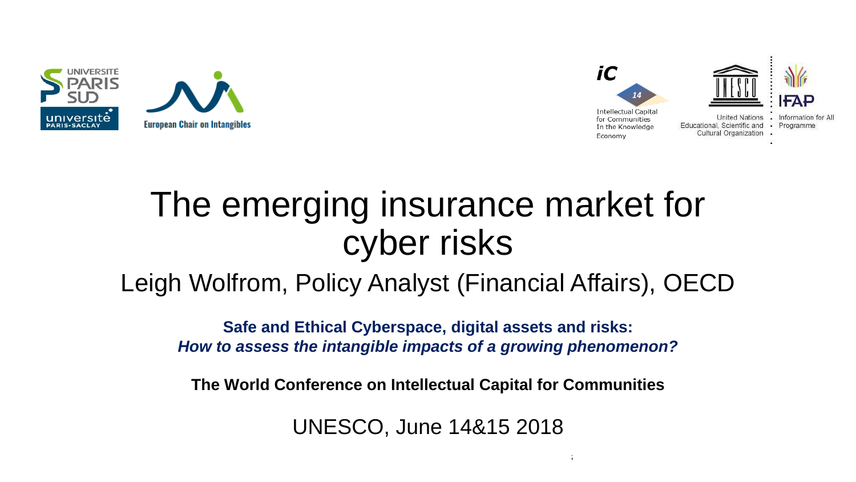



# The emerging insurance market for cyber risks

### Leigh Wolfrom, Policy Analyst (Financial Affairs), OECD

**Safe and Ethical Cyberspace, digital assets and risks:**  *How to assess the intangible impacts of a growing phenomenon?*

**The World Conference on Intellectual Capital for Communities**

UNESCO, June 14&15 2018

 $14\pm 15$ th June 2018 The World Conference on Intellectual Capital for Communities on Intellectual for Communities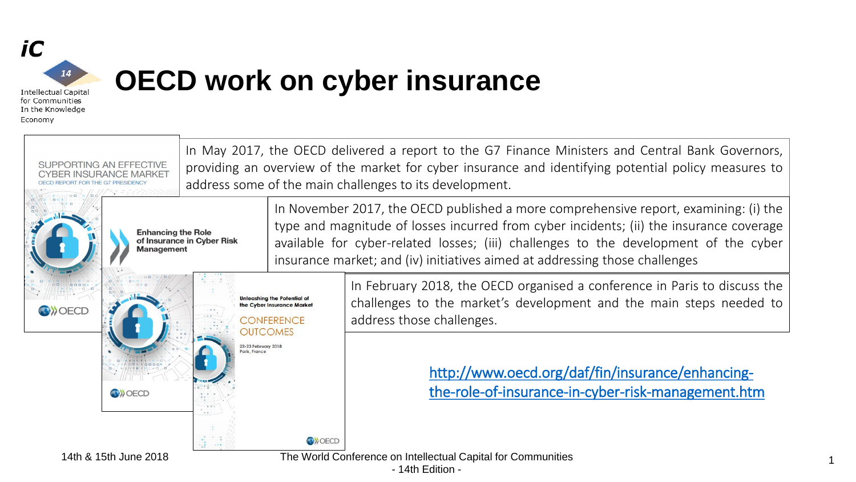

Economy

### **OECD work on cyber insurance**

In May 2017, the OECD delivered a report to the G7 Finance Ministers and Central Bank Governors, providing an overview of the market for cyber insurance and identifying potential policy measures to SUPPORTING AN EFFECTIVE address some of the main challenges to its development. In November 2017, the OECD published a more comprehensive report, examining: (i) the type and magnitude of losses incurred from cyber incidents; (ii) the insurance coverage **Enhancing the Role** of Insurance in Cyber Risk available for cyber-related losses; (iii) challenges to the development of the cyber **Management** insurance market; and (iv) initiatives aimed at addressing those challenges In February 2018, the OECD organised a conference in Paris to discuss the **Unleashing the Potential of** challenges to the market's development and the main steps needed to the Cyber Insurance Market **OB** DECD address those challenges. **CONFERENCE OUTCOMES** 22-23 February 2018 aris France [http://www.oecd.org/daf/fin/insurance/enhancing](http://www.oecd.org/daf/fin/insurance/enhancing-the-role-of-insurance-in-cyber-risk-management.htm)the-role-of-insurance-in-cyber-risk-management.htm**ON OECD O**>OECD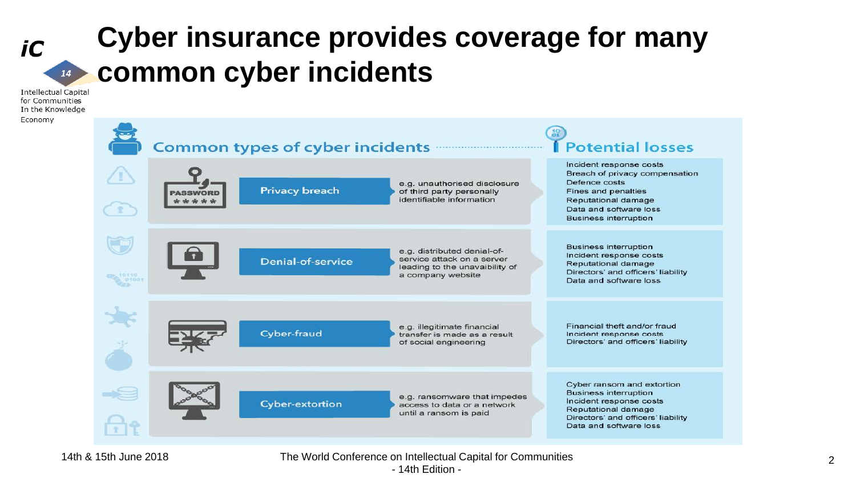### **Cyber insurance provides coverage for many common cyber incidents** 14

**Intellectual Capital** for Communities In the Knowledge Economy

iC

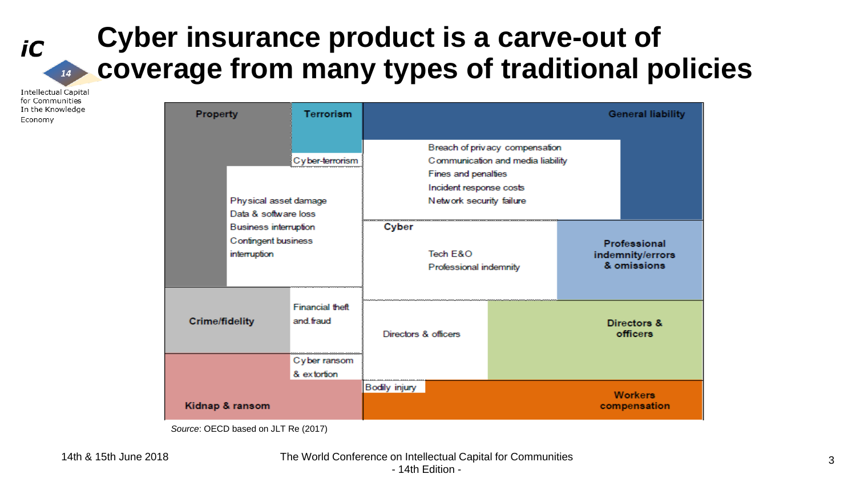### **Cyber insurance product is a carve-out of coverage from many types of traditional policies** 14

**Intellectual Capital** for Communities In the Knowledge Economy

iC

| <b>Property</b>                                                                             | <b>Terrorism</b> |                                                                                                                                                   |                                    |                         |                                                 | <b>General liability</b>       |
|---------------------------------------------------------------------------------------------|------------------|---------------------------------------------------------------------------------------------------------------------------------------------------|------------------------------------|-------------------------|-------------------------------------------------|--------------------------------|
| Cyber-terrorism<br>Physical asset damage<br>Data & software loss                            |                  | Breach of privacy compensation<br>Communication and media liability<br>Fines and penalties<br>Incident response costs<br>Network security failure |                                    |                         |                                                 |                                |
| <b>Business interruption</b><br>Confingent business<br>interruption                         |                  | Cyber                                                                                                                                             | Tech E&O<br>Professional indemnity |                         | Professional<br>indemnity/errors<br>& omissions |                                |
| <b>Financial theft</b><br>and fraud<br><b>Crime/fidelity</b><br>Cyber ransom<br>& extortion |                  | Directors & officers                                                                                                                              |                                    | Directors &<br>officers |                                                 |                                |
| Kidnap & ransom                                                                             |                  | Bodily injury                                                                                                                                     |                                    |                         |                                                 | <b>Workers</b><br>compensation |

*Source*: OECD based on JLT Re (2017)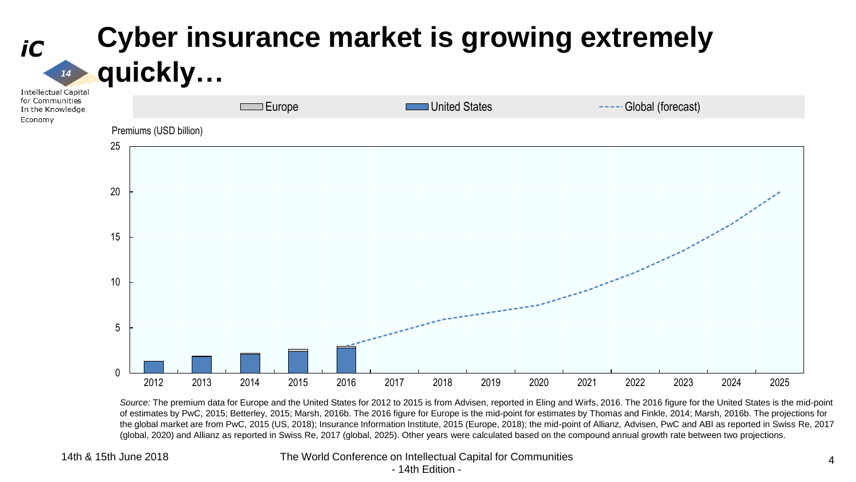

*Source:* The premium data for Europe and the United States for 2012 to 2015 is from Advisen, reported in Eling and Wirfs, 2016. The 2016 figure for the United States is the mid-point of estimates by PwC, 2015; Betterley, 2015; Marsh, 2016b. The 2016 figure for Europe is the mid-point for estimates by Thomas and Finkle, 2014; Marsh, 2016b. The projections for the global market are from PwC, 2015 (US, 2018); Insurance Information Institute, 2015 (Europe, 2018); the mid-point of Allianz, Advisen, PwC and ABI as reported in Swiss Re, 2017 (global, 2020) and Allianz as reported in Swiss Re, 2017 (global, 2025). Other years were calculated based on the compound annual growth rate between two projections.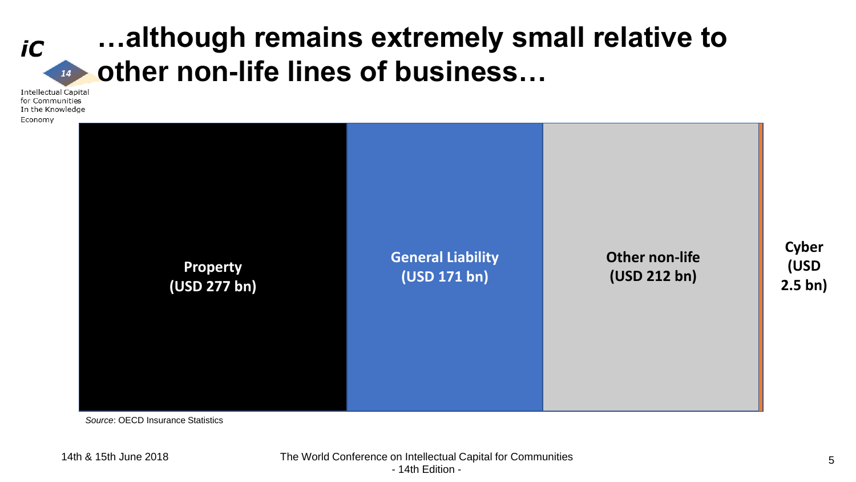## **…although remains extremely small relative to u** other non-life lines of business...

**Intellectual Capital** for Communities In the Knowledge Economy

iC

**Property (USD 277 bn) General Liability (USD 171 bn) Other non-life (USD 212 bn)**

*Source*: OECD Insurance Statistics

**Cyber** 

**(USD** 

**2.5 bn)**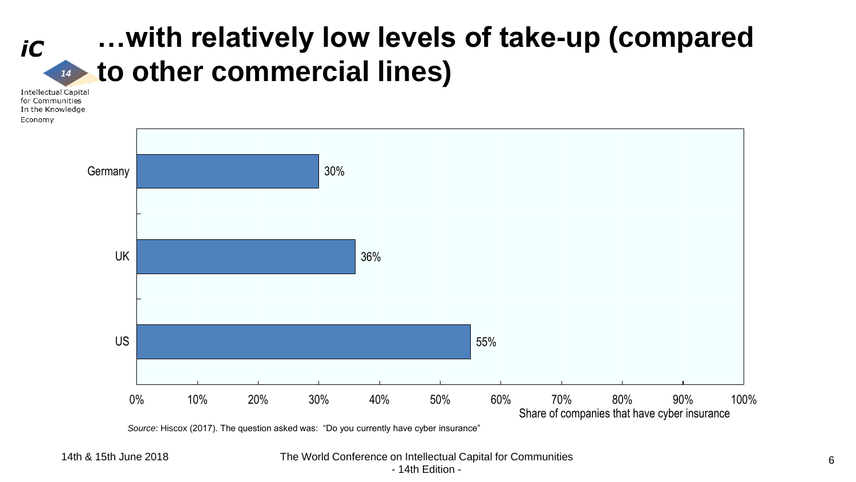#### **…with relatively low levels of take-up (compared to other commercial lines)**  $14$

**Intellectual Capital** for Communities In the Knowledge Economy

iC



*Source*: Hiscox (2017). The question asked was: "Do you currently have cyber insurance"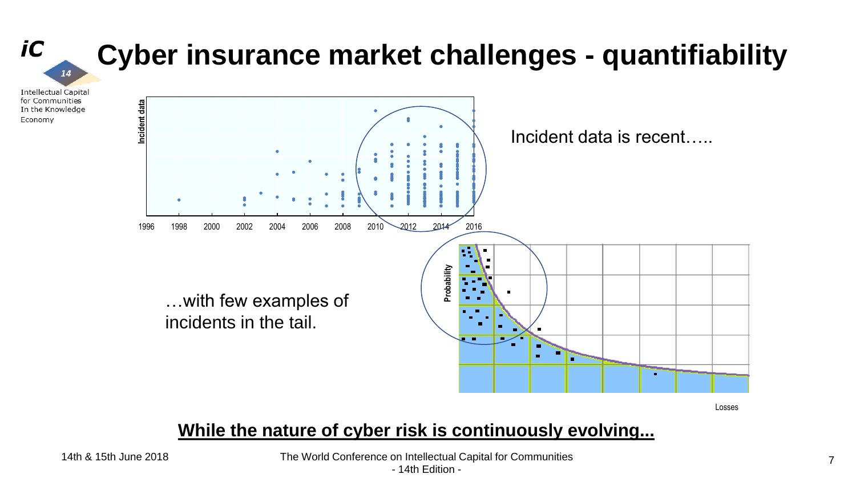

Losses

#### **While the nature of cyber risk is continuously evolving...**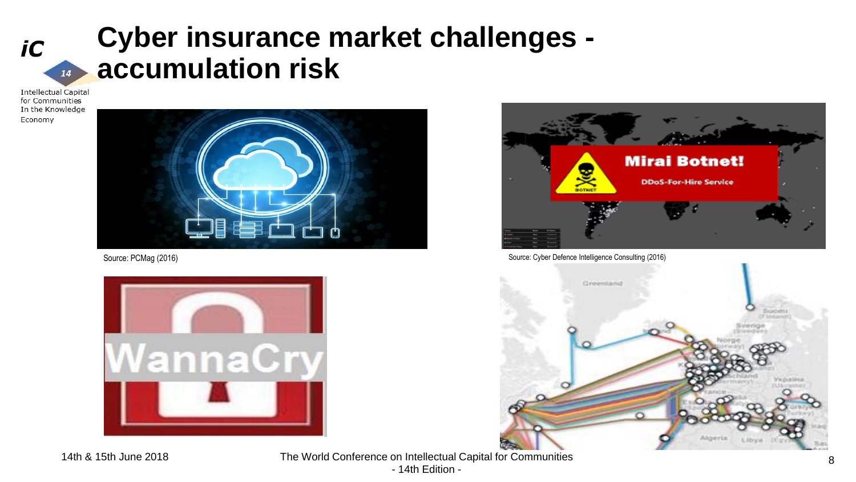

## **Cyber insurance market challenges accumulation risk**

**Intellectual Capital** for Communities In the Knowledge Economy







Source: PCMag (2016) Source: Cyber Defence Intelligence Consulting (2016)

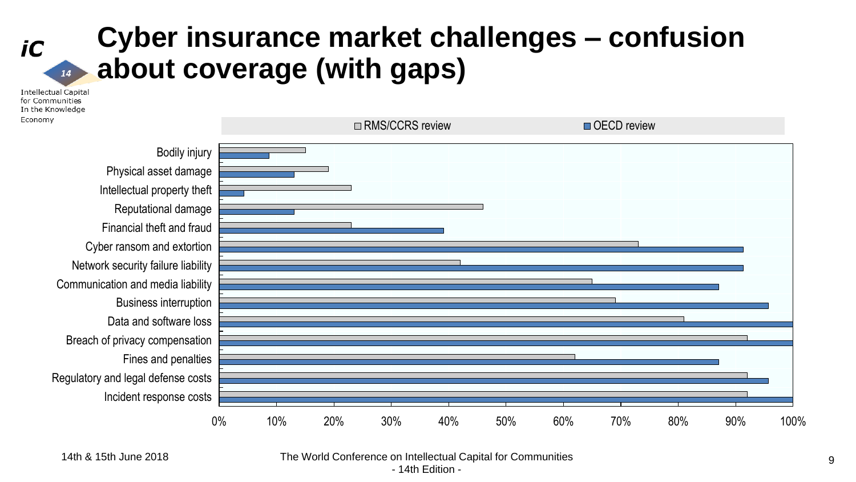#### **Cyber insurance market challenges – confusion about coverage (with gaps)**  $14$

**Intellectual Capital** for Communities In the Knowledge Economy

iC